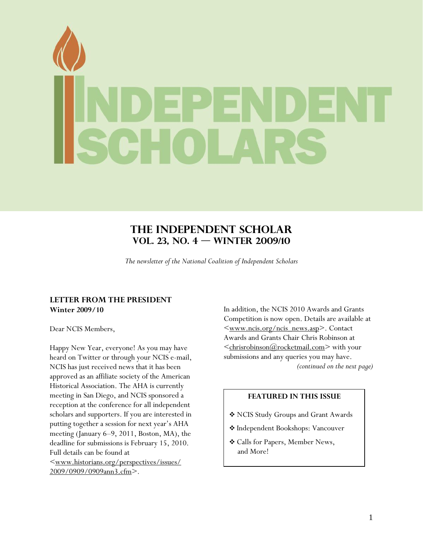<span id="page-0-0"></span>

# **The Independent Scholar Vol. 23, No. 4 — Winter 2009/10**

*The newsletter of the National Coalition of Independent Scholars* 

## **LETTER FROM THE PRESIDENT Winter 2009/10**

Dear NCIS Members,

Happy New Year, everyone! As you may have heard on Twitter or through your NCIS e-mail, NCIS has just received news that it has been approved as an affiliate society of the American Historical Association. The AHA is currently meeting in San Diego, and NCIS sponsored a reception at the conference for all independent scholars and supporters. If you are interested in putting together a session for next year's AHA meeting (January 6–9, 2011, Boston, MA), the deadline for submissions is February 15, 2010. Full details can be found at [<www.historians.org/perspectives/issues/](http://www.historians.org/perspectives/issues/%0B2009/0909/0909ann3.cfm) [2009/0909/0909ann3.cfm>](http://www.historians.org/perspectives/issues/%0B2009/0909/0909ann3.cfm).

In addition, the NCIS 2010 Awards and Grants Competition is now open. Details are available at [<www.ncis.org/ncis\\_news.asp](http://www.ncis.org/ncis_news.asp)>. Contact Awards and Grants Chair Chris Robinson at  $\leq$ chrisrobinson( $\alpha$ ) rocketmail.com $>$  with your submissions and any queries you may have.  *(continued on the next page)* 

## **FEATURED IN THIS ISSUE**

- NCIS Study Groups and Grant Awards
- Independent Bookshops: Vancouver
- Calls for Papers, Member News, and More!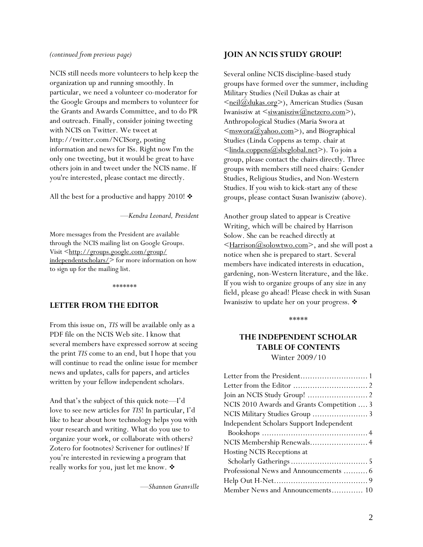#### <span id="page-1-0"></span>*(continued from previous page)*

NCIS still needs more volunteers to help keep the organization up and running smoothly. In particular, we need a volunteer co-moderator for the Google Groups and members to volunteer for the Grants and Awards Committee, and to do PR and outreach. Finally, consider joining tweeting with NCIS on Twitter. We tweet at http://twitter.com/NCISorg, posting information and news for ISs. Right now I'm the only one tweeting, but it would be great to have others join in and tweet under the NCIS name. If you're interested, please contact me directly.

All the best for a productive and happy 2010!  $\triangleleft$ 

—*Kendra Leonard, President*

More messages from the President are available through the NCIS mailing list on Google Groups. Visit <[http://groups.google.com/group/](http://groups.google.com/group/independentscholars/) [independentscholars/](http://groups.google.com/group/independentscholars/)> for more information on how to sign up for the mailing list.

*\*\*\*\*\*\*\** 

## **LETTER FROM THE EDITOR**

From this issue on, *TIS* will be available only as a PDF file on the NCIS Web site. I know that several members have expressed sorrow at seeing the print *TIS* come to an end, but I hope that you will continue to read the online issue for member news and updates, calls for papers, and articles written by your fellow independent scholars.

And that's the subject of this quick note—I'd love to see new articles for *TIS*! In particular, I'd like to hear about how technology helps you with your research and writing. What do you use to organize your work, or collaborate with others? Zotero for footnotes? Scrivener for outlines? If you're interested in reviewing a program that really works for you, just let me know. ❖

—*Shannon Granville* 

## **JOIN AN NCIS STUDY GROUP!**

Several online NCIS discipline-based study groups have formed over the summer, including Military Studies (Neil Dukas as chair at <meil@dukas.org>), American Studies (Susan Iwanisziw at  $\leq$ <u>siwanisziw</u> $(\omega)$ netzero.com>), Anthropological Studies (Maria Swora at  $\leq$ mswora@yahoo.com>), and Biographical Studies (Linda Coppens as temp. chair at  $\leq$ linda.coppens $\omega$ sbcglobal.net $\geq$ ). To join a group, please contact the chairs directly. Three groups with members still need chairs: Gender Studies, Religious Studies, and Non-Western Studies. If you wish to kick-start any of these groups, please contact Susan Iwanisziw (above).

Another group slated to appear is Creative Writing, which will be chaired by Harrison Solow. She can be reached directly at [<Harrison@solowtwo.com](mailto:Harrison@solowtwo.com)>, and she will post a notice when she is prepared to start. Several members have indicated interests in education, gardening, non-Western literature, and the like. If you wish to organize groups of any size in any field, please go ahead! Please check in with Susan Iwanisziw to update her on your progress.

\*\*\*\*\*

## **THE INDEPENDENT SCHOLAR TABLE OF CONTENTS**  Winter 2009/10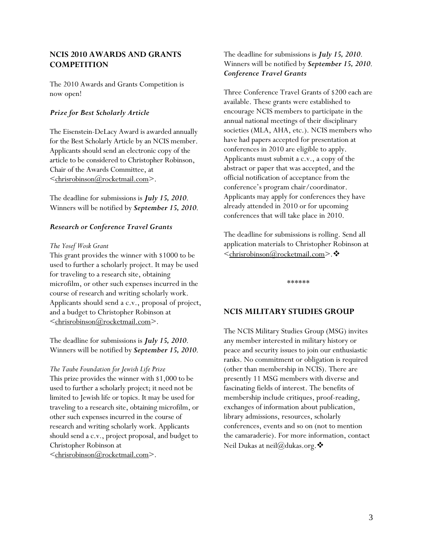## <span id="page-2-0"></span>**NCIS 2010 AWARDS AND GRANTS COMPETITION**

The 2010 Awards and Grants Competition is now open!

## *Prize for Best Scholarly Article*

The Eisenstein-DeLacy Award is awarded annually for the Best Scholarly Article by an NCIS member. Applicants should send an electronic copy of the article to be considered to Christopher Robinson, Chair of the Awards Committee, at [<chrisrobinson@rocketmail.com](mailto:chrisrobinson@rocketmail.com)>.

The deadline for submissions is *July 15, 2010*. Winners will be notified by *September 15, 2010*.

### *Research or Conference Travel Grants*

#### *The Yosef Wosk Grant*

This grant provides the winner with \$1000 to be used to further a scholarly project. It may be used for traveling to a research site, obtaining microfilm, or other such expenses incurred in the course of research and writing scholarly work. Applicants should send a c.v., proposal of project, and a budget to Christopher Robinson at [<chrisrobinson@rocketmail.com](mailto:chrisrobinson@rocketmail.com)>.

The deadline for submissions is *July 15, 2010*. Winners will be notified by *September 15, 2010*.

#### *The Taube Foundation for Jewish Life Prize*

This prize provides the winner with \$1,000 to be used to further a scholarly project; it need not be limited to Jewish life or topics. It may be used for traveling to a research site, obtaining microfilm, or other such expenses incurred in the course of research and writing scholarly work. Applicants should send a c.v., project proposal, and budget to Christopher Robinson at [<chrisrobinson@rocketmail.com](mailto:chrisrobinson@rocketmail.com)>.

## The deadline for submissions is *July 15, 2010*. Winners will be notified by *September 15, 2010*. *Conference Travel Grants*

Three Conference Travel Grants of \$200 each are available. These grants were established to encourage NCIS members to participate in the annual national meetings of their disciplinary societies (MLA, AHA, etc.). NCIS members who have had papers accepted for presentation at conferences in 2010 are eligible to apply. Applicants must submit a c.v., a copy of the abstract or paper that was accepted, and the official notification of acceptance from the conference's program chair/coordinator. Applicants may apply for conferences they have already attended in 2010 or for upcoming conferences that will take place in 2010.

The deadline for submissions is rolling. Send all application materials to Christopher Robinson at [<chrisrobinson@rocketmail.com](mailto:chrisrobinson@rocketmail.com)>.

\*\*\*\*\*\*

## **NCIS MILITARY STUDIES GROUP**

The NCIS Military Studies Group (MSG) invites any member interested in military history or peace and security issues to join our enthusiastic ranks. No commitment or obligation is required (other than membership in NCIS). There are presently 11 MSG members with diverse and fascinating fields of interest. The benefits of membership include critiques, proof-reading, exchanges of information about publication, library admissions, resources, scholarly conferences, events and so on (not to mention the camaraderie). For more information, contact Neil Dukas at neil@dukas.org.  $\clubsuit$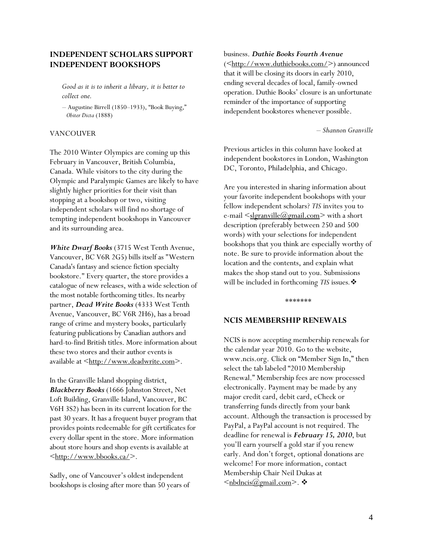## <span id="page-3-0"></span>**INDEPENDENT SCHOLARS SUPPORT INDEPENDENT BOOKSHOPS**

*Good as it is to inherit a library, it is better to collect one.* 

*–* Augustine Birrell (1850–1933), "Book Buying,"  *Obiter Dicta* (1888)

#### VANCOUVER

The 2010 Winter Olympics are coming up this February in Vancouver, British Columbia, Canada. While visitors to the city during the Olympic and Paralympic Games are likely to have slightly higher priorities for their visit than stopping at a bookshop or two, visiting independent scholars will find no shortage of tempting independent bookshops in Vancouver and its surrounding area.

*White Dwarf Books* (3715 West Tenth Avenue, Vancouver, BC V6R 2G5) bills itself as "Western Canada's fantasy and science fiction specialty bookstore." Every quarter, the store provides a catalogue of new releases, with a wide selection of the most notable forthcoming titles. Its nearby partner, *Dead Write Books* (4333 West Tenth Avenue, Vancouver, BC V6R 2H6), has a broad range of crime and mystery books, particularly featuring publications by Canadian authors and hard-to-find British titles. More information about these two stores and their author events is available at <[http://www.deadwrite.com>](http://www.deadwrite.com/).

In the Granville Island shopping district, *Blackberry Books* (1666 Johnston Street, Net Loft Building, Granville Island, Vancouver, BC V6H 3S2) has been in its current location for the past 30 years. It has a frequent buyer program that provides points redeemable for gift certificates for every dollar spent in the store. More information about store hours and shop events is available at  $\frac{\text{th}}{\text{t}}$ ://www.bbooks.ca/>.

Sadly, one of Vancouver's oldest independent bookshops is closing after more than 50 years of

#### business. *Duthie Books Fourth Avenue*

(<[http://www.duthiebooks.com/>](http://www.duthiebooks.com/)) announced that it will be closing its doors in early 2010, ending several decades of local, family-owned operation. Duthie Books' closure is an unfortunate reminder of the importance of supporting independent bookstores whenever possible.

*– Shannon Granville* 

Previous articles in this column have looked at independent bookstores in London, Washington DC, Toronto, Philadelphia, and Chicago.

Are you interested in sharing information about your favorite independent bookshops with your fellow independent scholars? *TIS* invites you to e-mail  $\leq$ [slgranville@gmail.com>](mailto:slgranville@gmail.com) with a short description (preferably between 250 and 500 words) with your selections for independent bookshops that you think are especially worthy of note. Be sure to provide information about the location and the contents, and explain what makes the shop stand out to you. Submissions will be included in forthcoming *TIS* issues*.*

\*\*\*\*\*\*\*

#### **NCIS MEMBERSHIP RENEWALS**

NCIS is now accepting membership renewals for the calendar year 2010. Go to the website, www.ncis.org. Click on "Member Sign In," then select the tab labeled "2010 Membership Renewal." Membership fees are now processed electronically. Payment may be made by any major credit card, debit card, eCheck or transferring funds directly from your bank account. Although the transaction is processed by PayPal, a PayPal account is not required. The deadline for renewal is *February 15, 2010*, but you'll earn yourself a gold star if you renew early. And don't forget, optional donations are welcome! For more information, contact Membership Chair Neil Dukas at  $\leq$ nbdncis $\omega$ gmail.com>.  $\cdot$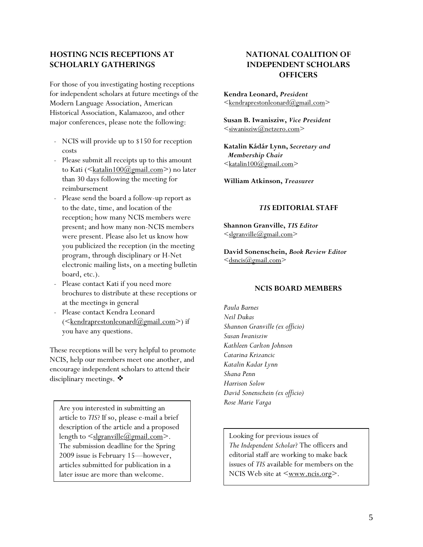## <span id="page-4-0"></span>**HOSTING NCIS RECEPTIONS AT SCHOLARLY GATHERINGS**

For those of you investigating hosting receptions for independent scholars at future meetings of the Modern Language Association, American Historical Association, Kalamazoo, and other major conferences, please note the following:

- NCIS will provide up to \$150 for reception
- Please submit all receipts up to this amount to Kati ([<katalin100@gmail.com](mailto:katalin100@gmail.com)>) no later than 30 days following the meeting for reimbursement
- Please send the board a follow-up report as to the date, time, and location of the reception; how many NCIS members were present; and how many non-NCIS members were present. Please also let us know how you publicized the reception (in the meeting program, through disciplinary or H-Net electronic mailing lists, on a meeting bulletin board, etc.).
- Please contact Kati if you need more brochures to distribute at these receptions or at the meetings in general
- at the meetings in general part of the *Paula Barnes*<br>Please contact Kendra Leonard and a May 10 May 10 May 10 May 10 May 10 May 10 May 10 May 10 May 10 May 10 May 10 May 10 May 10 May 10 May 10 May 10 May 10 May 10 May 10  $(\leq$ kendraprestonleonard $(\mathcal{Q}_{\text{gmail.com}})$  if you have any questions.

*Kathleen Carlton Johnson* These receptions will be very helpful to promote NCIS, help our members meet one another, and encourage independent scholars to attend their disciplinary meetings. ❖

*Rose Marie Varga* Are you interested in submitting an article to *TIS*? If so, please e-mail a brief description of the article and a proposed length to  $\leq$ slgranville@gmail.com>. The submission deadline for the Spring 2009 issue is February 15—however, articles submitted for publication in a later issue are more than welcome.

## **NATIONAL COALITION OF INDEPENDENT SCHOLARS OFFICERS**

**Kendra Leonard,** *President*  $\leq$ kendraprestonleonard@gmail.com $>$ 

**Susan B. Iwanisziw,** *Vice President*   $\leq$ siwanisziw $@$ netzero.com $>$ 

costs **Katalin Kádár Lynn,** *Secretary and*   $\leq$ katalin100@gmail.com>

**William Atkinson,** *Treasurer*

### *TIS* **EDITORIAL STAFF**

**Shannon Granville,** *TIS Editor*  $\leq$ slgranville@gmail.com>

**David Sonenschein,** *Book Review Editor*  $\leq$ dsncis $\omega$ gmail.com>

#### **NCIS BOARD MEMBERS**

*Neil Dukas Shannon Granville (ex officio) Susan Iwanisziw Catarina Krizancic Katalin Kadar Lynn Shana Penn Harrison Solow David Sonenschein (ex officio)*

Looking for previous issues of *The Independent Scholar*? The officers and editorial staff are working to make back issues of *TIS* available for members on the NCIS Web site at  $\langle www.ncis.org \rangle$ .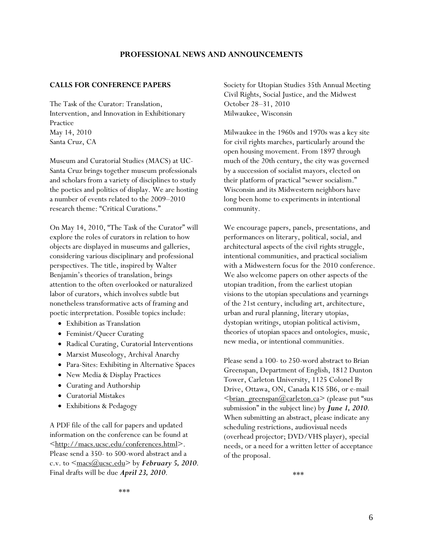## **PROFESSIONAL NEWS AND ANNOUNCEMENTS**

#### <span id="page-5-0"></span>**CALLS FOR CONFERENCE PAPERS**

The Task of the Curator: Translation, Intervention, and Innovation in Exhibitionary Practice May 14, 2010 Santa Cruz, CA

Museum and Curatorial Studies (MACS) at UC-Santa Cruz brings together museum professionals and scholars from a variety of disciplines to study the poetics and politics of display. We are hosting a number of events related to the 2009–2010 research theme: "Critical Curations."

On May 14, 2010, "The Task of the Curator" will explore the roles of curators in relation to how objects are displayed in museums and galleries, considering various disciplinary and professional perspectives. The title, inspired by Walter Benjamin's theories of translation, brings attention to the often overlooked or naturalized labor of curators, which involves subtle but nonetheless transformative acts of framing and poetic interpretation. Possible topics include:

- Exhibition as Translation
- Feminist/Queer Curating
- Radical Curating, Curatorial Interventions
- Marxist Museology, Archival Anarchy
- Para-Sites: Exhibiting in Alternative Spaces
- New Media & Display Practices
- Curating and Authorship
- Curatorial Mistakes
- Exhibitions & Pedagogy

A PDF file of the call for papers and updated information on the conference can be found at [<http://macs.ucsc.edu/conferences.html](http://macs.ucsc.edu/conferences.html)>. Please send a 350- to 500-word abstract and a c.v. to  $\leq$ <u>macs( $\omega$ ucsc.edu</u>> by *February 5, 2010*. Final drafts will be due *April 23, 2010*.

Society for Utopian Studies 35th Annual Meeting Civil Rights, Social Justice, and the Midwest October 28–31, 2010 Milwaukee, Wisconsin

Milwaukee in the 1960s and 1970s was a key site for civil rights marches, particularly around the open housing movement. From 1897 through much of the 20th century, the city was governed by a succession of socialist mayors, elected on their platform of practical "sewer socialism." Wisconsin and its Midwestern neighbors have long been home to experiments in intentional community.

We encourage papers, panels, presentations, and performances on literary, political, social, and architectural aspects of the civil rights struggle, intentional communities, and practical socialism with a Midwestern focus for the 2010 conference. We also welcome papers on other aspects of the utopian tradition, from the earliest utopian visions to the utopian speculations and yearnings of the 21st century, including art, architecture, urban and rural planning, literary utopias, dystopian writings, utopian political activism, theories of utopian spaces and ontologies, music, new media, or intentional communities.

Please send a 100- to 250-word abstract to Brian Greenspan, Department of English, 1812 Dunton Tower, Carleton University, 1125 Colonel By Drive, Ottawa, ON, Canada K1S 5B6, or e-mail  $\leq$ brian\_greenspan $@$ carleton.ca> (please put "sus submission" in the subject line) by *June 1, 2010*. When submitting an abstract, please indicate any scheduling restrictions, audiovisual needs (overhead projector; DVD/VHS player), special needs, or a need for a written letter of acceptance of the proposal.

\*\*\*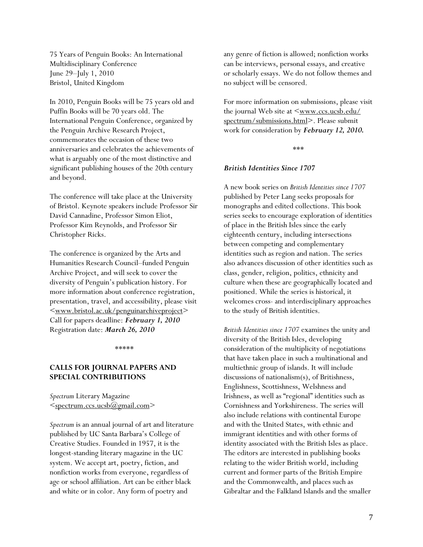75 Years of Penguin Books: An International Multidisciplinary Conference June 29–July 1, 2010 Bristol, United Kingdom

In 2010, Penguin Books will be 75 years old and Puffin Books will be 70 years old. The International Penguin Conference, organized by the Penguin Archive Research Project, commemorates the occasion of these two anniversaries and celebrates the achievements of what is arguably one of the most distinctive and significant publishing houses of the 20th century and beyond.

The conference will take place at the University of Bristol. Keynote speakers include Professor Sir David Cannadine, Professor Simon Eliot, Professor Kim Reynolds, and Professor Sir Christopher Ricks.

The conference is organized by the Arts and Humanities Research Council–funded Penguin Archive Project, and will seek to cover the diversity of Penguin's publication history. For more information about conference registration, presentation, travel, and accessibility, please visit [<www.bristol.ac.uk/penguinarchiveproject>](http://www.bristol.ac.uk/penguinarchiveproject) Call for papers deadline: *February 1, 2010* Registration date: *March 26, 2010*

\*\*\*\*\*

## **CALLS FOR JOURNAL PAPERS AND SPECIAL CONTRIBUTIONS**

*Spectrum* Literary Magazine [<spectrum.ccs.ucsb@gmail.com>](mailto:spectrum.ccs.ucsb@gmail.com)

*Spectrum* is an annual journal of art and literature published by UC Santa Barbara's College of Creative Studies. Founded in 1957, it is the longest-standing literary magazine in the UC system. We accept art, poetry, fiction, and nonfiction works from everyone, regardless of age or school affiliation. Art can be either black and white or in color. Any form of poetry and

any genre of fiction is allowed; nonfiction works can be interviews, personal essays, and creative or scholarly essays. We do not follow themes and no subject will be censored.

For more information on submissions, please visit the journal Web site at  $\leq_{\text{www.ccs.ucsb.edu/}}$  $\leq_{\text{www.ccs.ucsb.edu/}}$  $\leq_{\text{www.ccs.ucsb.edu/}}$ [spectrum/submissions.html](http://www.ccs.ucsb.edu/%0Bspectrum/submissions.html)>. Please submit work for consideration by *February 12, 2010.* 

\*\*\*

#### *British Identities Since 1707*

A new book series on *British Identities since 1707* published by Peter Lang seeks proposals for monographs and edited collections. This book series seeks to encourage exploration of identities of place in the British Isles since the early eighteenth century, including intersections between competing and complementary identities such as region and nation. The series also advances discussion of other identities such as class, gender, religion, politics, ethnicity and culture when these are geographically located and positioned. While the series is historical, it welcomes cross- and interdisciplinary approaches to the study of British identities.

*British Identities since 1707* examines the unity and diversity of the British Isles, developing consideration of the multiplicity of negotiations that have taken place in such a multinational and multiethnic group of islands. It will include discussions of nationalism(s), of Britishness, Englishness, Scottishness, Welshness and Irishness, as well as "regional" identities such as Cornishness and Yorkshireness. The series will also include relations with continental Europe and with the United States, with ethnic and immigrant identities and with other forms of identity associated with the British Isles as place. The editors are interested in publishing books relating to the wider British world, including current and former parts of the British Empire and the Commonwealth, and places such as Gibraltar and the Falkland Islands and the smaller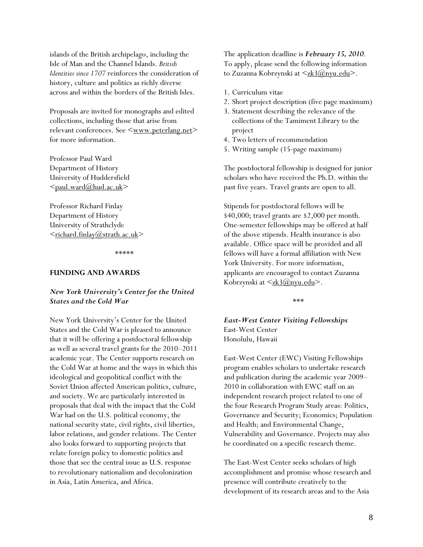islands of the British archipelago, including the Isle of Man and the Channel Islands. *British Identities since 1707* reinforces the consideration of history, culture and politics as richly diverse across and within the borders of the British Isles.

Proposals are invited for monographs and edited collections, including those that arise from relevant conferences. See <[www.peterlang.net](http://www.peterlang.net/)> for more information.

Professor Paul Ward Department of History University of Huddersfield [<paul.ward@hud.ac.uk>](mailto:paul.ward@hud.ac.uk)

Professor Richard Finlay Department of History University of Strathclyde  $\leq$ richard.finlay@strath.ac.uk>

\*\*\*\*\*

#### **FUNDING AND AWARDS**

## *New York University's Center for the United States and the Cold War*

New York University's Center for the United States and the Cold War is pleased to announce that it will be offering a postdoctoral fellowship as well as several travel grants for the 2010–2011 academic year. The Center supports research on the Cold War at home and the ways in which this ideological and geopolitical conflict with the Soviet Union affected American politics, culture, and society. We are particularly interested in proposals that deal with the impact that the Cold War had on the U.S. political economy, the national security state, civil rights, civil liberties, labor relations, and gender relations. The Center also looks forward to supporting projects that relate foreign policy to domestic politics and those that see the central issue as U.S. response to revolutionary nationalism and decolonization in Asia, Latin America, and Africa.

The application deadline is *February 15, 2010*. To apply, please send the following information to Zuzanna Kobrzynski at [<zk3@nyu.edu>](mailto:zk3@nyu.edu).

- 1. Curriculum vitae
- 2. Short project description (five page maximum)
- 3. Statement describing the relevance of the collections of the Tamiment Library to the project
- 4. Two letters of recommendation
- 5. Writing sample (15-page maximum)

The postdoctoral fellowship is designed for junior scholars who have received the Ph.D. within the past five years. Travel grants are open to all.

Stipends for postdoctoral fellows will be \$40,000; travel grants are \$2,000 per month. One-semester fellowships may be offered at half of the above stipends. Health insurance is also available. Office space will be provided and all fellows will have a formal affiliation with New York University. For more information, applicants are encouraged to contact Zuzanna Kobrzynski at <<u>zk3@nyu.edu</u>>.

\*\*\*

*East-West Center Visiting Fellowships*  East-West Center Honolulu, Hawaii

East-West Center (EWC) Visiting Fellowships program enables scholars to undertake research and publication during the academic year 2009– 2010 in collaboration with EWC staff on an independent research project related to one of the four Research Program Study areas: Politics, Governance and Security; Economics; Population and Health; and Environmental Change, Vulnerability and Governance. Projects may also be coordinated on a specific research theme.

The East-West Center seeks scholars of high accomplishment and promise whose research and presence will contribute creatively to the development of its research areas and to the Asia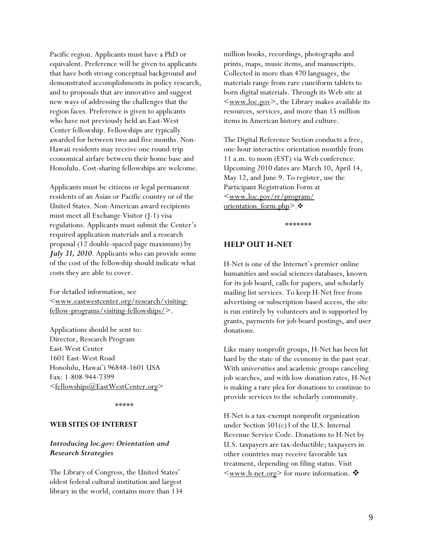<span id="page-8-0"></span>Pacific region. Applicants must have a PhD or equivalent. Preference will be given to applicants that have both strong conceptual background and demonstrated accomplishments in policy research, and to proposals that are innovative and suggest new ways of addressing the challenges that the region faces. Preference is given to applicants who have not previously held an East-West Center fellowship. Fellowships are typically awarded for between two and five months. Non-Hawaii residents may receive one round-trip economical airfare between their home base and Honolulu. Cost-sharing fellowships are welcome.

Applicants must be citizens or legal permanent residents of an Asian or Pacific country or of the United States. Non-American award recipients must meet all Exchange Visitor (J-1) visa regulations. Applicants must submit the Center's required application materials and a research proposal (12 double-spaced page maximum) by *July 31, 2010*. Applicants who can provide some of the cost of the fellowship should indicate what costs they are able to cover.

For detailed information, see [<www.eastwestcenter.org/research/visiting](http://www.eastwestcenter.org/research/visiting-fellow-programs/visiting-fellowships/)[fellow-programs/visiting-fellowships/](http://www.eastwestcenter.org/research/visiting-fellow-programs/visiting-fellowships/)>.

Applications should be sent to: Director, Research Program East-West Center 1601 East-West Road Honolulu, Hawai'i 96848-1601 USA Fax: 1-808-944-7399 [<fellowships@EastWestCenter.org>](mailto:fellowships@EastWestCenter.org)

\*\*\*\*\*

#### **WEB SITES OF INTEREST**

## *Introducing loc.gov: Orientation and Research Strategies*

The Library of Congress, the United States' oldest federal cultural institution and largest library in the world, contains more than 134 million books, recordings, photographs and prints, maps, music items, and manuscripts. Collected in more than 470 languages, the materials range from rare cuneiform tablets to born digital materials. Through its Web site at  $\langle www.loc.gov\rangle$ , the Library makes available its resources, services, and more than 15 million items in American history and culture.

The Digital Reference Section conducts a free, one-hour interactive orientation monthly from 11 a.m. to noon (EST) via Web conference. Upcoming 2010 dates are March 10, April 14, May 12, and June 9. To register, use the Participant Registration Form at [<www.loc.gov/rr/program/](http://www.loc.gov/rr/program/%0Borientation_form.php) [orientation\\_form.php>](http://www.loc.gov/rr/program/%0Borientation_form.php).

\*\*\*\*\*\*\*

#### **HELP OUT H-NET**

H-Net is one of the Internet's premier online humanities and social sciences databases, known for its job board, calls for papers, and scholarly mailing list services. To keep H-Net free from advertising or subscription-based access, the site is run entirely by volunteers and is supported by grants, payments for job board postings, and user donations.

Like many nonprofit groups, H-Net has been hit hard by the state of the economy in the past year. With universities and academic groups canceling job searches, and with low donation rates, H-Net is making a rare plea for donations to continue to provide services to the scholarly community.

H-Net is a tax-exempt nonprofit organization under Section 501(c)3 of the U.S. Internal Revenue Service Code. Donations to H-Net by U.S. taxpayers are tax-deductible; taxpayers in other countries may receive favorable tax treatment, depending on filing status. Visit  $\leq$ <u>www.h-net.org</u>> for more information.  $\clubsuit$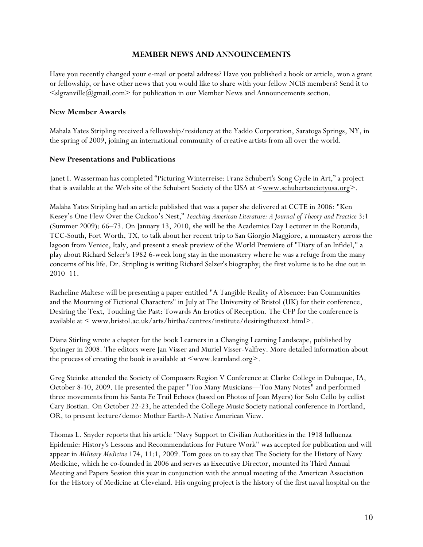## **MEMBER NEWS AND ANNOUNCEMENTS**

<span id="page-9-0"></span>Have you recently changed your e-mail or postal address? Have you published a book or article, won a grant or fellowship, or have other news that you would like to share with your fellow NCIS members? Send it to  $\leq$ slgranville( $\omega$ gmail.com $\geq$  for publication in our Member News and Announcements section.

## **New Member Awards**

Mahala Yates Stripling received a fellowship/residency at the Yaddo Corporation, Saratoga Springs, NY, in the spring of 2009, joining an international community of creative artists from all over the world.

## **New Presentations and Publications**

Janet I. Wasserman has completed "Picturing Winterreise: Franz Schubert's Song Cycle in Art," a project that is available at the Web site of the Schubert Society of the USA at  $\leq_{\text{www.schubertsocietyusa.org}}$ .

Malaha Yates Stripling had an article published that was a paper she delivered at CCTE in 2006: "Ken Kesey's One Flew Over the Cuckoo's Nest," *Teaching American Literature: A Journal of Theory and Practice* 3:1 (Summer 2009): 66–73. On January 13, 2010, she will be the Academics Day Lecturer in the Rotunda, TCC-South, Fort Worth, TX, to talk about her recent trip to San Giorgio Maggiore, a monastery across the lagoon from Venice, Italy, and present a sneak preview of the World Premiere of "Diary of an Infidel," a play about Richard Selzer's 1982 6-week long stay in the monastery where he was a refuge from the many concerns of his life. Dr. Stripling is writing Richard Selzer's biography; the first volume is to be due out in 2010–11.

Racheline Maltese will be presenting a paper entitled "A Tangible Reality of Absence: Fan Communities and the Mourning of Fictional Characters" in July at The University of Bristol (UK) for their conference, Desiring the Text, Touching the Past: Towards An Erotics of Reception. The CFP for the conference is available at < [www.bristol.ac.uk/arts/birtha/centres/institute/desiringthetext.html](http://www.bristol.ac.uk/arts/birtha/centres/institute/desiringthetext.html)>.

Diana Stirling wrote a chapter for the book Learners in a Changing Learning Landscape, published by Springer in 2008. The editors were Jan Visser and Muriel Visser-Valfrey. More detailed information about the process of creating the book is available at  $\leq_{\text{www.learnland.org}}$ .

Greg Steinke attended the Society of Composers Region V Conference at Clarke College in Dubuque, IA, October 8-10, 2009. He presented the paper "Too Many Musicians—Too Many Notes" and performed three movements from his Santa Fe Trail Echoes (based on Photos of Joan Myers) for Solo Cello by cellist Cary Bostian. On October 22-23, he attended the College Music Society national conference in Portland, OR, to present lecture/demo: Mother Earth-A Native American View.

Thomas L. Snyder reports that his article "Navy Support to Civilian Authorities in the 1918 Influenza Epidemic: History's Lessons and Recommendations for Future Work" was accepted for publication and will appear in *Military Medicine* 174, 11:1, 2009. Tom goes on to say that The Society for the History of Navy Medicine, which he co-founded in 2006 and serves as Executive Director, mounted its Third Annual Meeting and Papers Session this year in conjunction with the annual meeting of the American Association for the History of Medicine at Cleveland. His ongoing project is the history of the first naval hospital on the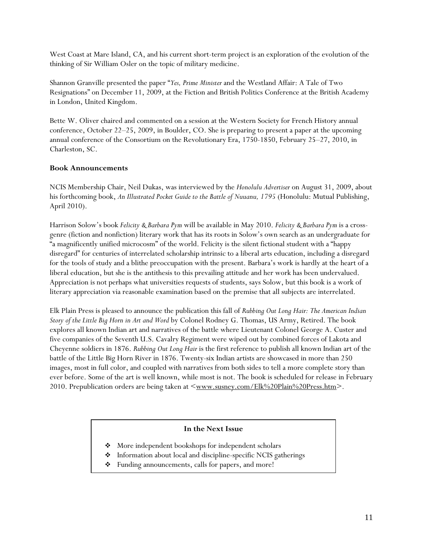West Coast at Mare Island, CA, and his current short-term project is an exploration of the evolution of the thinking of Sir William Osler on the topic of military medicine.

Shannon Granville presented the paper "*Yes, Prime Minister* and the Westland Affair: A Tale of Two Resignations" on December 11, 2009, at the Fiction and British Politics Conference at the British Academy in London, United Kingdom.

Bette W. Oliver chaired and commented on a session at the Western Society for French History annual conference, October 22–25, 2009, in Boulder, CO. She is preparing to present a paper at the upcoming annual conference of the Consortium on the Revolutionary Era, 1750-1850, February 25–27, 2010, in Charleston, SC.

## **Book Announcements**

NCIS Membership Chair, Neil Dukas, was interviewed by the *Honolulu Advertiser* on August 31, 2009, about his forthcoming book, *An Illustrated Pocket Guide to the Battle of Nuuanu, 1795* (Honolulu: Mutual Publishing, April 2010).

Harrison Solow's book *Felicity & Barbara Pym* will be available in May 2010. *Felicity & Barbara Pym* is a crossgenre (fiction and nonfiction) literary work that has its roots in Solow's own search as an undergraduate for "a magnificently unified microcosm" of the world. Felicity is the silent fictional student with a "happy disregard" for centuries of interrelated scholarship intrinsic to a liberal arts education, including a disregard for the tools of study and a blithe preoccupation with the present. Barbara's work is hardly at the heart of a liberal education, but she is the antithesis to this prevailing attitude and her work has been undervalued. Appreciation is not perhaps what universities requests of students, says Solow, but this book is a work of literary appreciation via reasonable examination based on the premise that all subjects are interrelated.

Elk Plain Press is pleased to announce the publication this fall of *Rubbing Out Long Hair: The American Indian Story of the Little Big Horn in Art and Word* by Colonel Rodney G. Thomas, US Army, Retired. The book explores all known Indian art and narratives of the battle where Lieutenant Colonel George A. Custer and five companies of the Seventh U.S. Cavalry Regiment were wiped out by combined forces of Lakota and Cheyenne soldiers in 1876. *Rubbing Out Long Hair* is the first reference to publish all known Indian art of the battle of the Little Big Horn River in 1876. Twenty-six Indian artists are showcased in more than 250 images, most in full color, and coupled with narratives from both sides to tell a more complete story than ever before. Some of the art is well known, while most is not. The book is scheduled for release in February 2010. Prepublication orders are being taken at <[www.susney.com/Elk%20Plain%20Press.htm](http://www.susney.com/Elk%20Plain%20Press.htm)>.

## **In the Next Issue**

- $\bullet$  More independent bookshops for independent scholars
- Information about local and discipline-specific NCIS gatherings
- Funding announcements, calls for papers, and more!